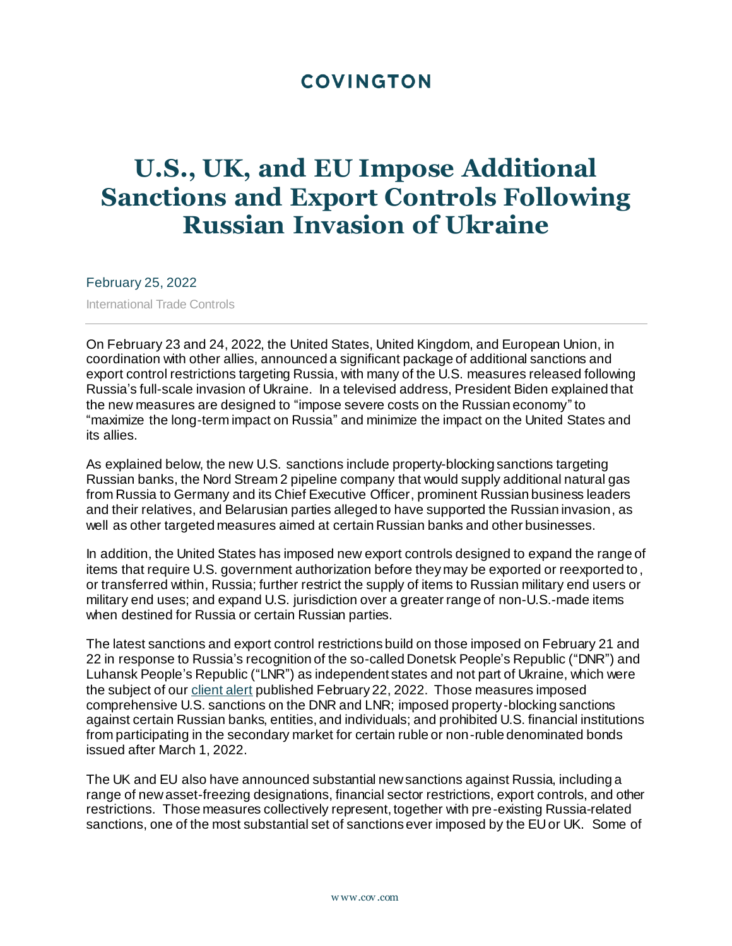# **COVINGTON**

# **U.S., UK, and EU Impose Additional Sanctions and Export Controls Following Russian Invasion of Ukraine**

February 25, 2022

International Trade Controls

On February 23 and 24, 2022, the United States, United Kingdom, and European Union, in coordination with other allies, announced a significant package of additional sanctions and export control restrictions targeting Russia, with many of the U.S. measures released following Russia's full-scale invasion of Ukraine. In a televised address, President Biden explained that the new measures are designed to "impose severe costs on the Russian economy" to "maximize the long-term impact on Russia" and minimize the impact on the United States and its allies.

As explained below, the new U.S. sanctions include property-blocking sanctions targeting Russian banks, the Nord Stream 2 pipeline company that would supply additional natural gas from Russia to Germany and its Chief Executive Officer, prominent Russian business leaders and their relatives, and Belarusian parties alleged to have supported the Russian invasion, as well as other targeted measures aimed at certain Russian banks and other businesses.

In addition, the United States has imposed new export controls designed to expand the range of items that require U.S. government authorization before they may be exported or reexported to , or transferred within, Russia; further restrict the supply of items to Russian military end users or military end uses; and expand U.S. jurisdiction over a greater range of non-U.S.-made items when destined for Russia or certain Russian parties.

The latest sanctions and export control restrictions build on those imposed on February 21 and 22 in response to Russia's recognition of the so-called Donetsk People's Republic ("DNR") and Luhansk People's Republic ("LNR") as independent states and not part of Ukraine, which were the subject of ou[r client alert](https://www.cov.com/en/news-and-insights/insights/2022/02/new-us-uk-and-eu-sanctions-imposed-in-response-to-russias-action-to-recognize-the-so-called-donetsk-and-luhansk-peoples-republics) published February 22, 2022. Those measures imposed comprehensive U.S. sanctions on the DNR and LNR; imposed property-blocking sanctions against certain Russian banks, entities, and individuals; and prohibited U.S. financial institutions from participating in the secondary market for certain ruble or non-ruble denominated bonds issued after March 1, 2022.

The UK and EU also have announced substantial new sanctions against Russia, including a range of new asset-freezing designations, financial sector restrictions, export controls, and other restrictions. Those measures collectively represent, together with pre-existing Russia-related sanctions, one of the most substantial set of sanctions ever imposed by the EU or UK. Some of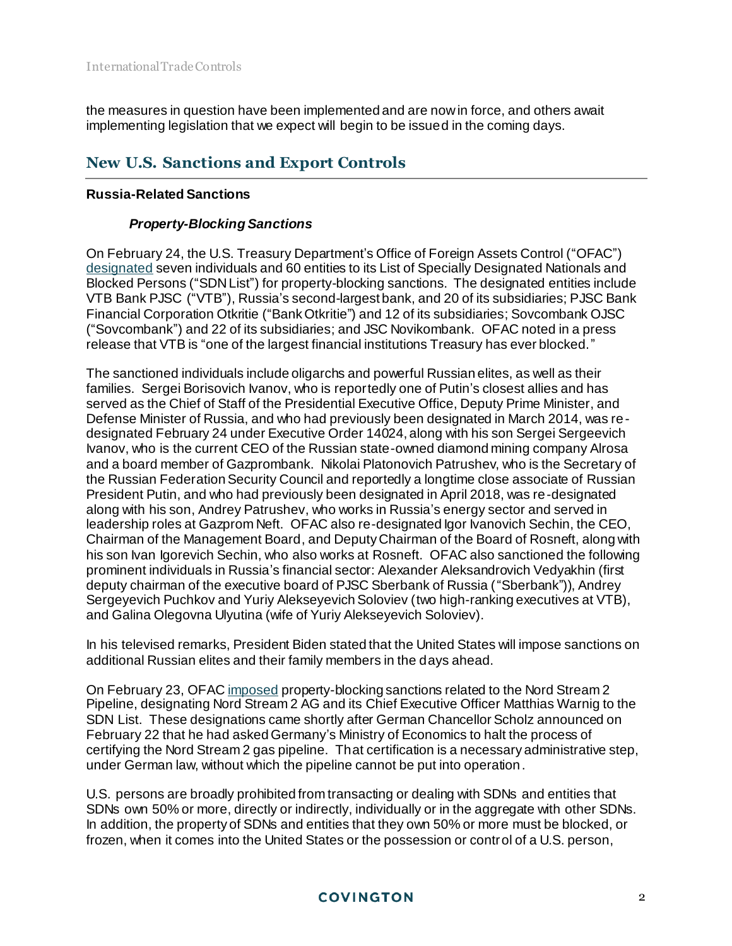the measures in question have been implemented and are now in force, and others await implementing legislation that we expect will begin to be issued in the coming days.

# **New U.S. Sanctions and Export Controls**

# **Russia-Related Sanctions**

# *Property-Blocking Sanctions*

On February 24, the U.S. Treasury Department's Office of Foreign Assets Control ("OFAC") [designated](https://home.treasury.gov/policy-issues/financial-sanctions/recent-actions/20220224) seven individuals and 60 entities to its List of Specially Designated Nationals and Blocked Persons ("SDN List") for property-blocking sanctions. The designated entities include VTB Bank PJSC ("VTB"), Russia's second-largest bank, and 20 of its subsidiaries; PJSC Bank Financial Corporation Otkritie ("Bank Otkritie") and 12 of its subsidiaries; Sovcombank OJSC ("Sovcombank") and 22 of its subsidiaries; and JSC Novikombank. OFAC noted in a press release that VTB is "one of the largest financial institutions Treasury has ever blocked."

The sanctioned individuals include oligarchs and powerful Russian elites, as well as their families. Sergei Borisovich Ivanov, who is reportedly one of Putin's closest allies and has served as the Chief of Staff of the Presidential Executive Office, Deputy Prime Minister, and Defense Minister of Russia, and who had previously been designated in March 2014, was redesignated February 24 under Executive Order 14024, along with his son Sergei Sergeevich Ivanov, who is the current CEO of the Russian state-owned diamond mining company Alrosa and a board member of Gazprombank. Nikolai Platonovich Patrushev, who is the Secretary of the Russian Federation Security Council and reportedly a longtime close associate of Russian President Putin, and who had previously been designated in April 2018, was re-designated along with his son, Andrey Patrushev, who works in Russia's energy sector and served in leadership roles at Gazprom Neft. OFAC also re-designated Igor Ivanovich Sechin, the CEO, Chairman of the Management Board, and Deputy Chairman of the Board of Rosneft, along with his son Ivan Igorevich Sechin, who also works at Rosneft. OFAC also sanctioned the following prominent individuals in Russia's financial sector: Alexander Aleksandrovich Vedyakhin (first deputy chairman of the executive board of PJSC Sberbank of Russia ("Sberbank")), Andrey Sergeyevich Puchkov and Yuriy Alekseyevich Soloviev (two high-ranking executives at VTB), and Galina Olegovna Ulyutina (wife of Yuriy Alekseyevich Soloviev).

In his televised remarks, President Biden stated that the United States will impose sanctions on additional Russian elites and their family members in the days ahead.

On February 23, OFA[C imposed](https://home.treasury.gov/policy-issues/financial-sanctions/recent-actions/20220223_33) property-blocking sanctions related to the Nord Stream 2 Pipeline, designating Nord Stream 2 AG and its Chief Executive Officer Matthias Warnig to the SDN List. These designations came shortly after German Chancellor Scholz announced on February 22 that he had asked Germany's Ministry of Economics to halt the process of certifying the Nord Stream 2 gas pipeline. That certification is a necessary administrative step, under German law, without which the pipeline cannot be put into operation.

U.S. persons are broadly prohibited from transacting or dealing with SDNs and entities that SDNs own 50% or more, directly or indirectly, individually or in the aggregate with other SDNs. In addition, the property of SDNs and entities that they own 50% or more must be blocked, or frozen, when it comes into the United States or the possession or control of a U.S. person,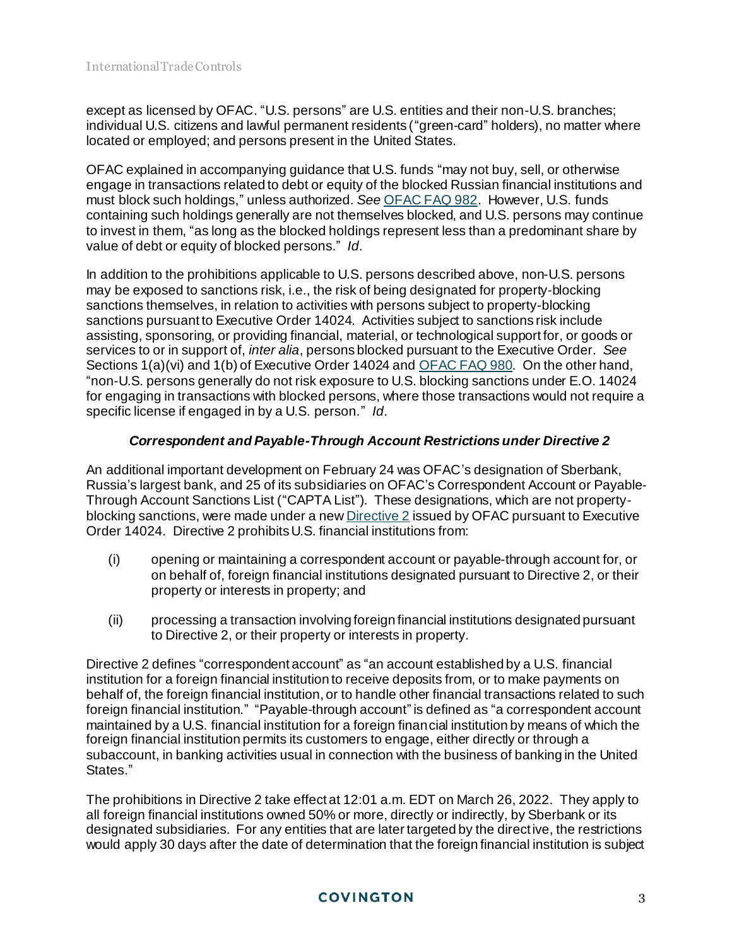except as licensed by OFAC. "U.S. persons" are U.S. entities and their non-U.S. branches; individual U.S. citizens and lawful permanent residents ("green-card" holders), no matter where located or employed; and persons present in the United States.

OFAC explained in accompanying guidance that U.S. funds "may not buy, sell, or otherwise engage in transactions related to debt or equity of the blocked Russian financial institutions and must block such holdings," unless authorized. *See* [OFAC FAQ 982.](https://home.treasury.gov/policy-issues/financial-sanctions/faqs/982) However, U.S. funds containing such holdings generally are not themselves blocked, and U.S. persons may continue to invest in them, "as long as the blocked holdings represent less than a predominant share by value of debt or equity of blocked persons." *Id*.

In addition to the prohibitions applicable to U.S. persons described above, non-U.S. persons may be exposed to sanctions risk, i.e., the risk of being designated for property-blocking sanctions themselves, in relation to activities with persons subject to property-blocking sanctions pursuant to Executive Order 14024. Activities subject to sanctions risk include assisting, sponsoring, or providing financial, material, or technological support for, or goods or services to or in support of, *inter alia*, persons blocked pursuant to the Executive Order. *See* Sections 1(a)(vi) and 1(b) of Executive Order 14024 an[d OFAC FAQ 980](https://home.treasury.gov/policy-issues/financial-sanctions/faqs/980). On the other hand, "non-U.S. persons generally do not risk exposure to U.S. blocking sanctions under E.O. 14024 for engaging in transactions with blocked persons, where those transactions would not require a specific license if engaged in by a U.S. person." *Id*.

# *Correspondent and Payable-Through Account Restrictions under Directive 2*

An additional important development on February 24 was OFAC's designation of Sberbank, Russia's largest bank, and 25 of its subsidiaries on OFAC's Correspondent Account or Payable-Through Account Sanctions List ("CAPTA List"). These designations, which are not propertyblocking sanctions, were made under a ne[w Directive 2](https://home.treasury.gov/system/files/126/correspondent_accounts_directive_2.pdf) issued by OFAC pursuant to Executive Order 14024. Directive 2 prohibits U.S. financial institutions from:

- (i) opening or maintaining a correspondent account or payable-through account for, or on behalf of, foreign financial institutions designated pursuant to Directive 2, or their property or interests in property; and
- (ii) processing a transaction involving foreign financial institutions designated pursuant to Directive 2, or their property or interests in property.

Directive 2 defines "correspondent account" as "an account established by a U.S. financial institution for a foreign financial institution to receive deposits from, or to make payments on behalf of, the foreign financial institution, or to handle other financial transactions related to such foreign financial institution." "Payable-through account" is defined as "a correspondent account maintained by a U.S. financial institution for a foreign financial institution by means of which the foreign financial institution permits its customers to engage, either directly or through a subaccount, in banking activities usual in connection with the business of banking in the United States."

The prohibitions in Directive 2 take effect at 12:01 a.m. EDT on March 26, 2022. They apply to all foreign financial institutions owned 50% or more, directly or indirectly, by Sberbank or its designated subsidiaries. For any entities that are later targeted by the directive, the restrictions would apply 30 days after the date of determination that the foreign financial institution is subject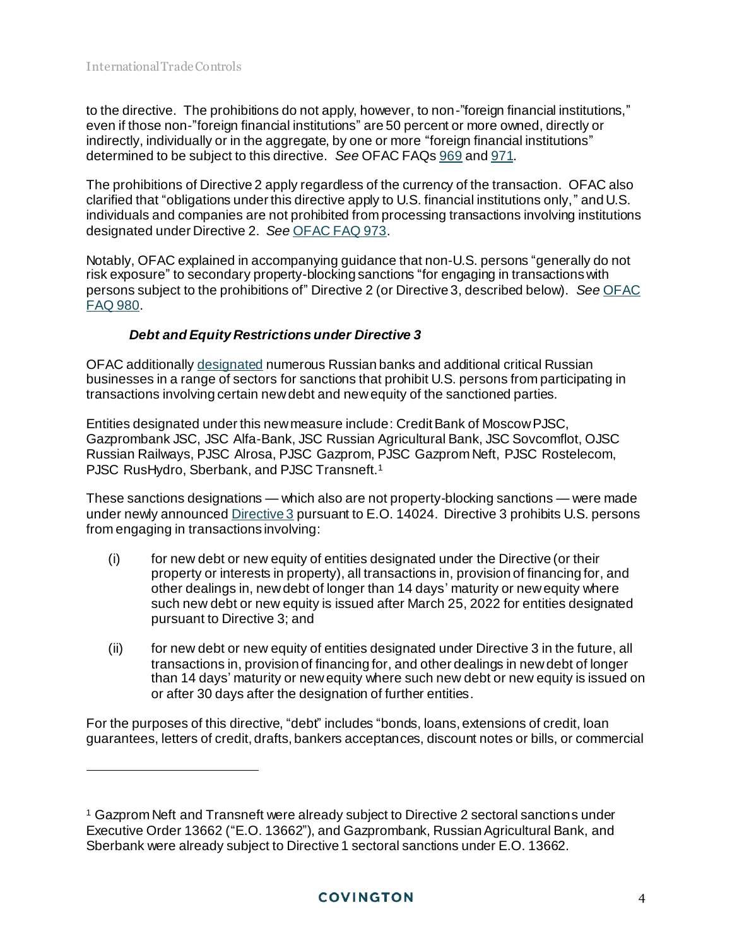l

to the directive. The prohibitions do not apply, however, to non-"foreign financial institutions," even if those non-"foreign financial institutions" are 50 percent or more owned, directly or indirectly, individually or in the aggregate, by one or more "foreign financial institutions" determined to be subject to this directive. *See* OFAC FAQ[s 969](https://home.treasury.gov/policy-issues/financial-sanctions/faqs/969) an[d 971](https://home.treasury.gov/policy-issues/financial-sanctions/faqs/971).

The prohibitions of Directive 2 apply regardless of the currency of the transaction. OFAC also clarified that "obligations under this directive apply to U.S. financial institutions only," and U.S. individuals and companies are not prohibited from processing transactions involving institutions designated under Directive 2. *See* [OFAC FAQ 973.](https://home.treasury.gov/policy-issues/financial-sanctions/faqs/973)

Notably, OFAC explained in accompanying guidance that non-U.S. persons "generally do not risk exposure" to secondary property-blocking sanctions "for engaging in transactions with persons subject to the prohibitions of" Directive 2 (or Directive 3, described below). *See* [OFAC](https://home.treasury.gov/policy-issues/financial-sanctions/faqs/980)  [FAQ 980.](https://home.treasury.gov/policy-issues/financial-sanctions/faqs/980)

# *Debt and Equity Restrictions under Directive 3*

OFAC additionall[y designated](https://home.treasury.gov/policy-issues/financial-sanctions/recent-actions/20220224) numerous Russian banks and additional critical Russian businesses in a range of sectors for sanctions that prohibit U.S. persons from participating in transactions involving certain new debt and new equity of the sanctioned parties.

Entities designated under this new measure include: Credit Bank of Moscow PJSC, Gazprombank JSC, JSC Alfa-Bank, JSC Russian Agricultural Bank, JSC Sovcomflot, OJSC Russian Railways, PJSC Alrosa, PJSC Gazprom, PJSC Gazprom Neft, PJSC Rostelecom, PJSC RusHydro, Sberbank, and PJSC Transneft.<sup>1</sup>

These sanctions designations — which also are not property-blocking sanctions — were made under newly announced [Directive 3](https://home.treasury.gov/system/files/126/new_debt_and_equity_directive_3.pdf) pursuant to E.O. 14024. Directive 3 prohibits U.S. persons from engaging in transactions involving:

- (i) for new debt or new equity of entities designated under the Directive (or their property or interests in property), all transactions in, provision of financing for, and other dealings in, new debt of longer than 14 days' maturity or new equity where such new debt or new equity is issued after March 25, 2022 for entities designated pursuant to Directive 3; and
- (ii) for new debt or new equity of entities designated under Directive 3 in the future, all transactions in, provision of financing for, and other dealings in new debt of longer than 14 days' maturity or new equity where such new debt or new equity is issued on or after 30 days after the designation of further entities.

For the purposes of this directive, "debt" includes "bonds, loans, extensions of credit, loan guarantees, letters of credit, drafts, bankers acceptances, discount notes or bills, or commercial

<sup>1</sup> Gazprom Neft and Transneft were already subject to Directive 2 sectoral sanctions under Executive Order 13662 ("E.O. 13662"), and Gazprombank, Russian Agricultural Bank, and Sberbank were already subject to Directive 1 sectoral sanctions under E.O. 13662.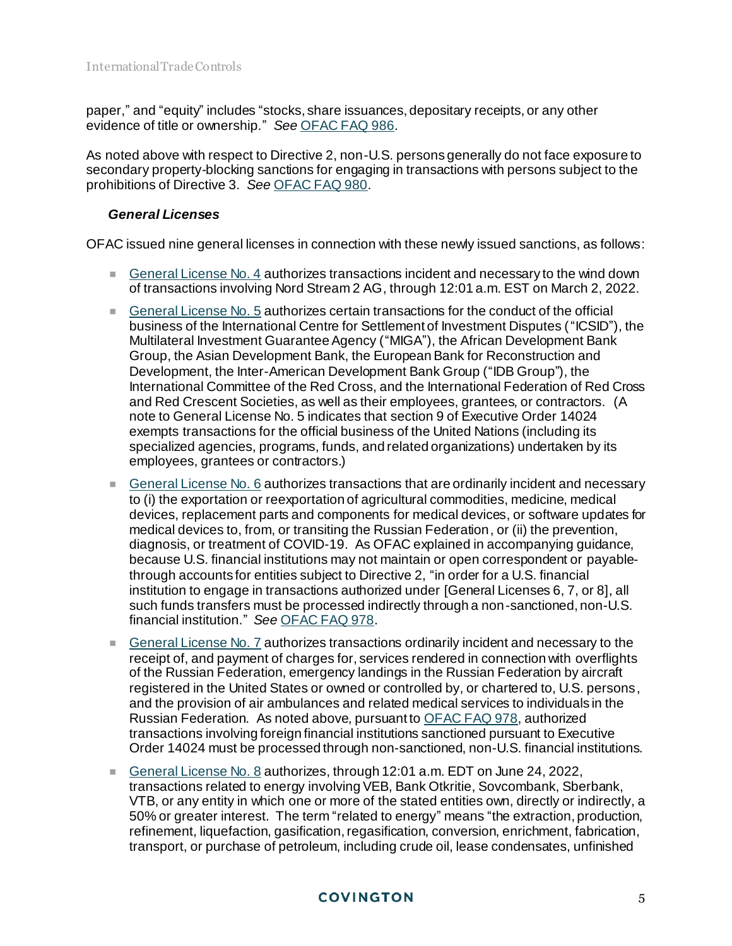paper," and "equity" includes "stocks, share issuances, depositary receipts, or any other evidence of title or ownership." *See* [OFAC FAQ](https://home.treasury.gov/policy-issues/financial-sanctions/faqs/986) 986.

As noted above with respect to Directive 2, non-U.S. persons generally do not face exposure to secondary property-blocking sanctions for engaging in transactions with persons subject to the prohibitions of Directive 3. *See* [OFAC FAQ 980](https://home.treasury.gov/policy-issues/financial-sanctions/faqs/980).

# *General Licenses*

OFAC issued nine general licenses in connection with these newly issued sanctions, as follows:

- [General License No. 4](https://home.treasury.gov/system/files/126/peesa_gl4.pdf) authorizes transactions incident and necessary to the wind down of transactions involving Nord Stream 2 AG, through 12:01 a.m. EST on March 2, 2022.
- [General License No.](https://home.treasury.gov/system/files/126/russia_gl5.pdf) 5 authorizes certain transactions for the conduct of the official business of the International Centre for Settlement of Investment Disputes ("ICSID"), the Multilateral Investment Guarantee Agency ("MIGA"), the African Development Bank Group, the Asian Development Bank, the European Bank for Reconstruction and Development, the Inter-American Development Bank Group ("IDB Group"), the International Committee of the Red Cross, and the International Federation of Red Cross and Red Crescent Societies, as well as their employees, grantees, or contractors. (A note to General License No. 5 indicates that section 9 of Executive Order 14024 exempts transactions for the official business of the United Nations (including its specialized agencies, programs, funds, and related organizations) undertaken by its employees, grantees or contractors.)
- General License No.  $6$  authorizes transactions that are ordinarily incident and necessary to (i) the exportation or reexportation of agricultural commodities, medicine, medical devices, replacement parts and components for medical devices, or software updates for medical devices to, from, or transiting the Russian Federation, or (ii) the prevention, diagnosis, or treatment of COVID-19. As OFAC explained in accompanying guidance, because U.S. financial institutions may not maintain or open correspondent or payablethrough accounts for entities subject to Directive 2, "in order for a U.S. financial institution to engage in transactions authorized under [General Licenses 6, 7, or 8], all such funds transfers must be processed indirectly through a non-sanctioned, non-U.S. financial institution." *See* [OFAC FAQ 978](https://home.treasury.gov/policy-issues/financial-sanctions/faqs/978).
- [General License No. 7](https://home.treasury.gov/system/files/126/russia_gl7.pdf) authorizes transactions ordinarily incident and necessary to the receipt of, and payment of charges for, services rendered in connection with overflights of the Russian Federation, emergency landings in the Russian Federation by aircraft registered in the United States or owned or controlled by, or chartered to, U.S. persons, and the provision of air ambulances and related medical services to individuals in the Russian Federation. As noted above, pursuant t[o OFAC FAQ 978](https://home.treasury.gov/policy-issues/financial-sanctions/faqs/978), authorized transactions involving foreign financial institutions sanctioned pursuant to Executive Order 14024 must be processed through non-sanctioned, non-U.S. financial institutions.
- [General License No. 8](https://home.treasury.gov/system/files/126/russia_gl8.pdf) authorizes, through 12:01 a.m. EDT on June 24, 2022, transactions related to energy involving VEB, Bank Otkritie, Sovcombank, Sberbank, VTB, or any entity in which one or more of the stated entities own, directly or indirectly, a 50% or greater interest. The term "related to energy" means "the extraction, production, refinement, liquefaction, gasification, regasification, conversion, enrichment, fabrication, transport, or purchase of petroleum, including crude oil, lease condensates, unfinished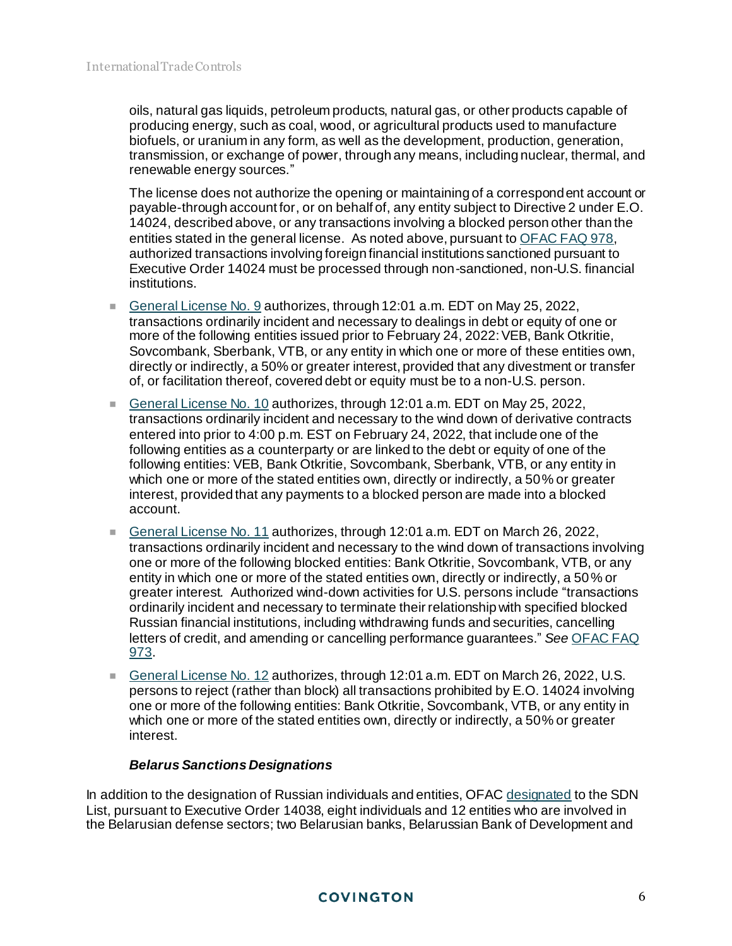oils, natural gas liquids, petroleum products, natural gas, or other products capable of producing energy, such as coal, wood, or agricultural products used to manufacture biofuels, or uranium in any form, as well as the development, production, generation, transmission, or exchange of power, through any means, including nuclear, thermal, and renewable energy sources."

The license does not authorize the opening or maintaining of a correspondent account or payable-through account for, or on behalf of, any entity subject to Directive 2 under E.O. 14024, described above, or any transactions involving a blocked person other than the entities stated in the general license. As noted above, pursuant t[o OFAC FAQ 978](https://home.treasury.gov/policy-issues/financial-sanctions/faqs/978), authorized transactions involving foreign financial institutions sanctioned pursuant to Executive Order 14024 must be processed through non-sanctioned, non-U.S. financial institutions.

- [General License No. 9](https://home.treasury.gov/system/files/126/russia_gl9.pdf) authorizes, through 12:01 a.m. EDT on May 25, 2022, transactions ordinarily incident and necessary to dealings in debt or equity of one or more of the following entities issued prior to February 24, 2022: VEB, Bank Otkritie, Sovcombank, Sberbank, VTB, or any entity in which one or more of these entities own, directly or indirectly, a 50% or greater interest, provided that any divestment or transfer of, or facilitation thereof, covered debt or equity must be to a non-U.S. person.
- [General License No. 10](https://home.treasury.gov/system/files/126/russia_gl10.pdf) authorizes, through 12:01 a.m. EDT on May 25, 2022, transactions ordinarily incident and necessary to the wind down of derivative contracts entered into prior to 4:00 p.m. EST on February 24, 2022, that include one of the following entities as a counterparty or are linked to the debt or equity of one of the following entities: VEB, Bank Otkritie, Sovcombank, Sberbank, VTB, or any entity in which one or more of the stated entities own, directly or indirectly, a 50% or greater interest, provided that any payments to a blocked person are made into a blocked account.
- [General License No. 11](https://home.treasury.gov/system/files/126/russia_gl11.pdf) authorizes, through 12:01 a.m. EDT on March 26, 2022, transactions ordinarily incident and necessary to the wind down of transactions involving one or more of the following blocked entities: Bank Otkritie, Sovcombank, VTB, or any entity in which one or more of the stated entities own, directly or indirectly, a 50% or greater interest. Authorized wind-down activities for U.S. persons include "transactions ordinarily incident and necessary to terminate their relationship with specified blocked Russian financial institutions, including withdrawing funds and securities, cancelling letters of credit, and amending or cancelling performance guarantees." *See* [OFAC FAQ](https://home.treasury.gov/policy-issues/financial-sanctions/faqs/973)  [973.](https://home.treasury.gov/policy-issues/financial-sanctions/faqs/973)
- [General License No. 12](https://home.treasury.gov/system/files/126/russia_gl12.pdf) authorizes, through 12:01 a.m. EDT on March 26, 2022, U.S. persons to reject (rather than block) all transactions prohibited by E.O. 14024 involving one or more of the following entities: Bank Otkritie, Sovcombank, VTB, or any entity in which one or more of the stated entities own, directly or indirectly, a 50% or greater interest.

# *Belarus Sanctions Designations*

In addition to the designation of Russian individuals and entities, OFA[C designated](https://home.treasury.gov/policy-issues/financial-sanctions/recent-actions/20220224) to the SDN List, pursuant to Executive Order 14038, eight individuals and 12 entities who are involved in the Belarusian defense sectors; two Belarusian banks, Belarussian Bank of Development and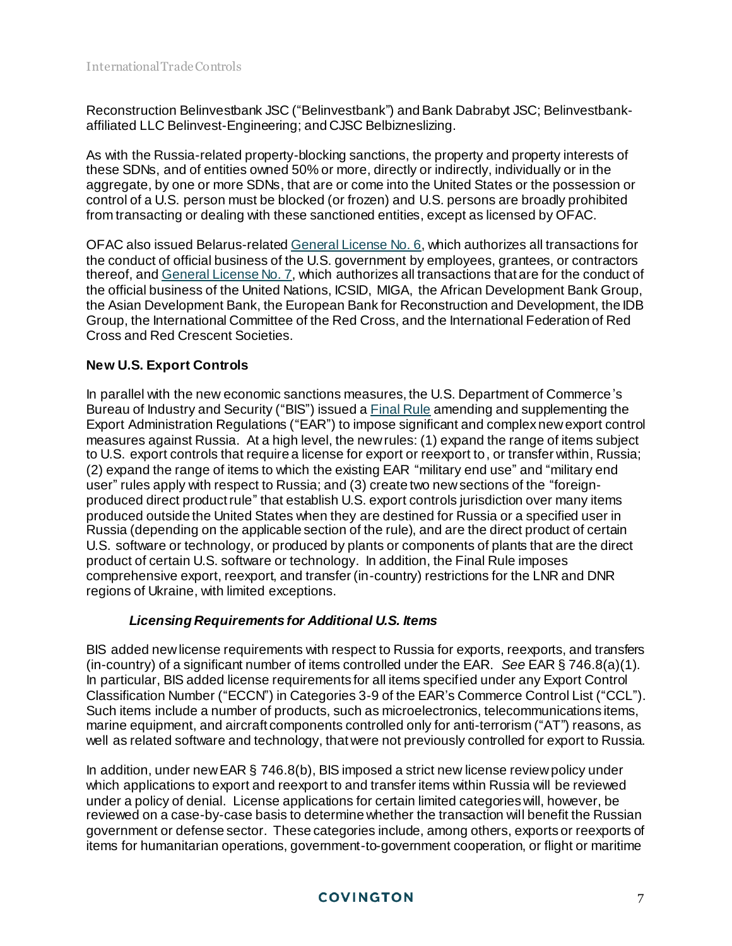Reconstruction Belinvestbank JSC ("Belinvestbank") and Bank Dabrabyt JSC; Belinvestbankaffiliated LLC Belinvest-Engineering; and CJSC Belbizneslizing.

As with the Russia-related property-blocking sanctions, the property and property interests of these SDNs, and of entities owned 50% or more, directly or indirectly, individually or in the aggregate, by one or more SDNs, that are or come into the United States or the possession or control of a U.S. person must be blocked (or frozen) and U.S. persons are broadly prohibited from transacting or dealing with these sanctioned entities, except as licensed by OFAC.

OFAC also issued Belarus-relate[d General License No. 6,](https://home.treasury.gov/system/files/126/belarus_gl6.pdf) which authorizes all transactions for the conduct of official business of the U.S. government by employees, grantees, or contractors thereof, an[d General License No. 7,](https://home.treasury.gov/system/files/126/belarus_gl7.pdf) which authorizes all transactions that are for the conduct of the official business of the United Nations, ICSID, MIGA, the African Development Bank Group, the Asian Development Bank, the European Bank for Reconstruction and Development, the IDB Group, the International Committee of the Red Cross, and the International Federation of Red Cross and Red Crescent Societies.

# **New U.S. Export Controls**

In parallel with the new economic sanctions measures, the U.S. Department of Commerce's Bureau of Industry and Security ("BIS") issued [a Final Rule](https://public-inspection.federalregister.gov/2022-04300.pdf) amending and supplementing the Export Administration Regulations ("EAR") to impose significant and complex new export control measures against Russia. At a high level, the new rules: (1) expand the range of items subject to U.S. export controls that require a license for export or reexport to, or transfer within, Russia; (2) expand the range of items to which the existing EAR "military end use" and "military end user" rules apply with respect to Russia; and (3) create two new sections of the "foreignproduced direct product rule" that establish U.S. export controls jurisdiction over many items produced outside the United States when they are destined for Russia or a specified user in Russia (depending on the applicable section of the rule), and are the direct product of certain U.S. software or technology, or produced by plants or components of plants that are the direct product of certain U.S. software or technology. In addition, the Final Rule imposes comprehensive export, reexport, and transfer (in-country) restrictions for the LNR and DNR regions of Ukraine, with limited exceptions.

# *Licensing Requirements for Additional U.S. Items*

BIS added new license requirements with respect to Russia for exports, reexports, and transfers (in-country) of a significant number of items controlled under the EAR. *See* EAR § 746.8(a)(1). In particular, BIS added license requirements for all items specified under any Export Control Classification Number ("ECCN") in Categories 3-9 of the EAR's Commerce Control List ("CCL"). Such items include a number of products, such as microelectronics, telecommunications items, marine equipment, and aircraft components controlled only for anti-terrorism ("AT") reasons, as well as related software and technology, that were not previously controlled for export to Russia.

In addition, under new EAR § 746.8(b), BIS imposed a strict new license review policy under which applications to export and reexport to and transfer items within Russia will be reviewed under a policy of denial. License applications for certain limited categories will, however, be reviewed on a case-by-case basis to determine whether the transaction will benefit the Russian government or defense sector. These categories include, among others, exports or reexports of items for humanitarian operations, government-to-government cooperation, or flight or maritime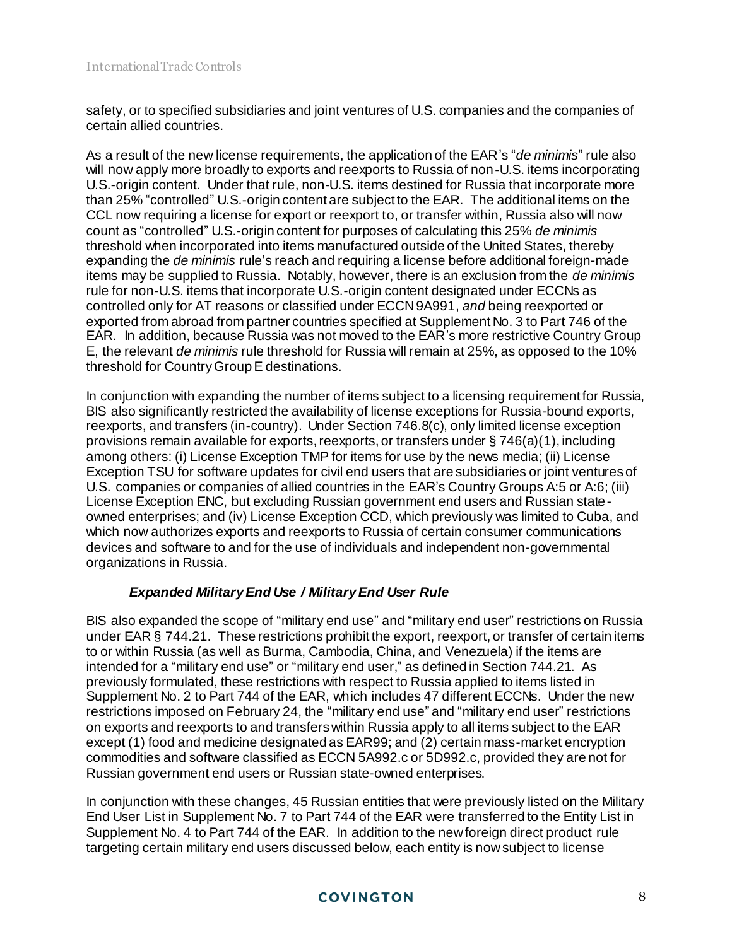safety, or to specified subsidiaries and joint ventures of U.S. companies and the companies of certain allied countries.

As a result of the new license requirements, the application of the EAR's "*de minimis*" rule also will now apply more broadly to exports and reexports to Russia of non-U.S. items incorporating U.S.-origin content. Under that rule, non-U.S. items destined for Russia that incorporate more than 25% "controlled" U.S.-origin content are subject to the EAR. The additional items on the CCL now requiring a license for export or reexport to, or transfer within, Russia also will now count as "controlled" U.S.-origin content for purposes of calculating this 25% *de minimis* threshold when incorporated into items manufactured outside of the United States, thereby expanding the *de minimis* rule's reach and requiring a license before additional foreign-made items may be supplied to Russia. Notably, however, there is an exclusion from the *de minimis* rule for non-U.S. items that incorporate U.S.-origin content designated under ECCNs as controlled only for AT reasons or classified under ECCN 9A991, *and* being reexported or exported from abroad from partner countries specified at Supplement No. 3 to Part 746 of the EAR. In addition, because Russia was not moved to the EAR's more restrictive Country Group E, the relevant *de minimis* rule threshold for Russia will remain at 25%, as opposed to the 10% threshold for Country Group E destinations.

In conjunction with expanding the number of items subject to a licensing requirement for Russia, BIS also significantly restricted the availability of license exceptions for Russia-bound exports, reexports, and transfers (in-country). Under Section 746.8(c), only limited license exception provisions remain available for exports, reexports, or transfers under § 746(a)(1), including among others: (i) License Exception TMP for items for use by the news media; (ii) License Exception TSU for software updates for civil end users that are subsidiaries or joint ventures of U.S. companies or companies of allied countries in the EAR's Country Groups A:5 or A:6; (iii) License Exception ENC, but excluding Russian government end users and Russian stateowned enterprises; and (iv) License Exception CCD, which previously was limited to Cuba, and which now authorizes exports and reexports to Russia of certain consumer communications devices and software to and for the use of individuals and independent non-governmental organizations in Russia.

# *Expanded Military End Use / Military End User Rule*

BIS also expanded the scope of "military end use" and "military end user" restrictions on Russia under EAR § 744.21. These restrictions prohibit the export, reexport, or transfer of certain items to or within Russia (as well as Burma, Cambodia, China, and Venezuela) if the items are intended for a "military end use" or "military end user," as defined in Section 744.21. As previously formulated, these restrictions with respect to Russia applied to items listed in Supplement No. 2 to Part 744 of the EAR, which includes 47 different ECCNs. Under the new restrictions imposed on February 24, the "military end use" and "military end user" restrictions on exports and reexports to and transfers within Russia apply to all items subject to the EAR except (1) food and medicine designated as EAR99; and (2) certain mass-market encryption commodities and software classified as ECCN 5A992.c or 5D992.c, provided they are not for Russian government end users or Russian state-owned enterprises.

In conjunction with these changes, 45 Russian entities that were previously listed on the Military End User List in Supplement No. 7 to Part 744 of the EAR were transferred to the Entity List in Supplement No. 4 to Part 744 of the EAR. In addition to the new foreign direct product rule targeting certain military end users discussed below, each entity is now subject to license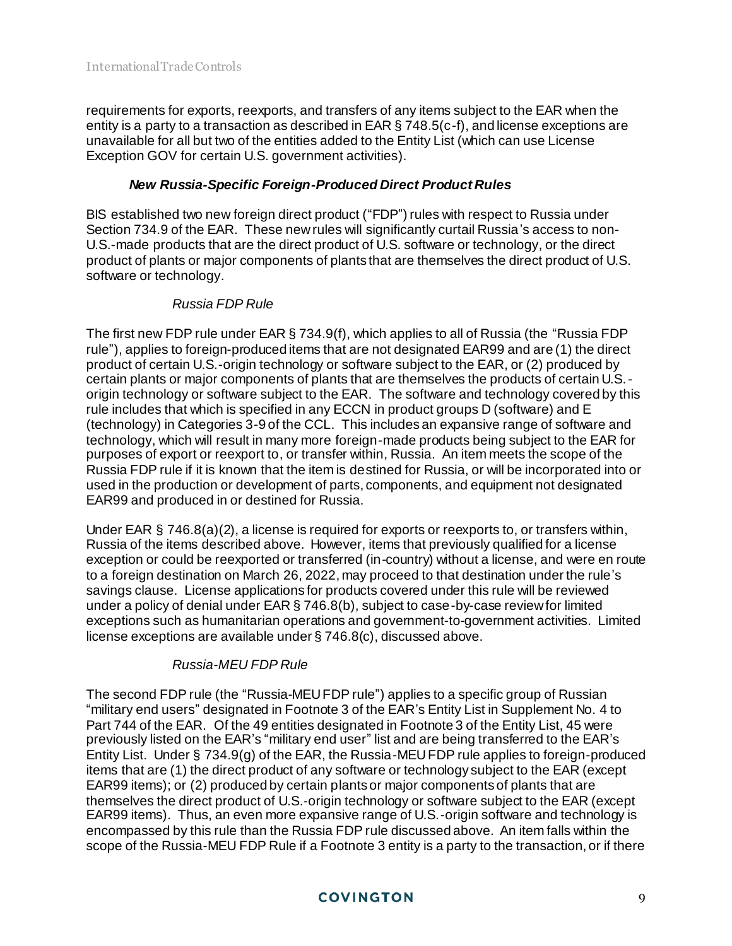requirements for exports, reexports, and transfers of any items subject to the EAR when the entity is a party to a transaction as described in EAR § 748.5(c-f), and license exceptions are unavailable for all but two of the entities added to the Entity List (which can use License Exception GOV for certain U.S. government activities).

# *New Russia-Specific Foreign-Produced Direct Product Rules*

BIS established two new foreign direct product ("FDP") rules with respect to Russia under Section 734.9 of the EAR. These new rules will significantly curtail Russia's access to non-U.S.-made products that are the direct product of U.S. software or technology, or the direct product of plants or major components of plants that are themselves the direct product of U.S. software or technology.

# *Russia FDP Rule*

The first new FDP rule under EAR § 734.9(f), which applies to all of Russia (the "Russia FDP rule"), applies to foreign-produced items that are not designated EAR99 and are (1) the direct product of certain U.S.-origin technology or software subject to the EAR, or (2) produced by certain plants or major components of plants that are themselves the products of certain U.S. origin technology or software subject to the EAR. The software and technology covered by this rule includes that which is specified in any ECCN in product groups D (software) and E (technology) in Categories 3-9 of the CCL. This includes an expansive range of software and technology, which will result in many more foreign-made products being subject to the EAR for purposes of export or reexport to, or transfer within, Russia. An item meets the scope of the Russia FDP rule if it is known that the item is destined for Russia, or will be incorporated into or used in the production or development of parts, components, and equipment not designated EAR99 and produced in or destined for Russia.

Under EAR § 746.8(a)(2), a license is required for exports or reexports to, or transfers within, Russia of the items described above. However, items that previously qualified for a license exception or could be reexported or transferred (in-country) without a license, and were en route to a foreign destination on March 26, 2022, may proceed to that destination under the rule's savings clause. License applications for products covered under this rule will be reviewed under a policy of denial under EAR § 746.8(b), subject to case-by-case review for limited exceptions such as humanitarian operations and government-to-government activities. Limited license exceptions are available under § 746.8(c), discussed above.

# *Russia-MEU FDP Rule*

The second FDP rule (the "Russia-MEU FDP rule") applies to a specific group of Russian "military end users" designated in Footnote 3 of the EAR's Entity List in Supplement No. 4 to Part 744 of the EAR. Of the 49 entities designated in Footnote 3 of the Entity List, 45 were previously listed on the EAR's "military end user" list and are being transferred to the EAR's Entity List. Under § 734.9(g) of the EAR, the Russia-MEU FDP rule applies to foreign-produced items that are (1) the direct product of any software or technology subject to the EAR (except EAR99 items); or (2) produced by certain plants or major components of plants that are themselves the direct product of U.S.-origin technology or software subject to the EAR (except EAR99 items). Thus, an even more expansive range of U.S.-origin software and technology is encompassed by this rule than the Russia FDP rule discussed above. An item falls within the scope of the Russia-MEU FDP Rule if a Footnote 3 entity is a party to the transaction, or if there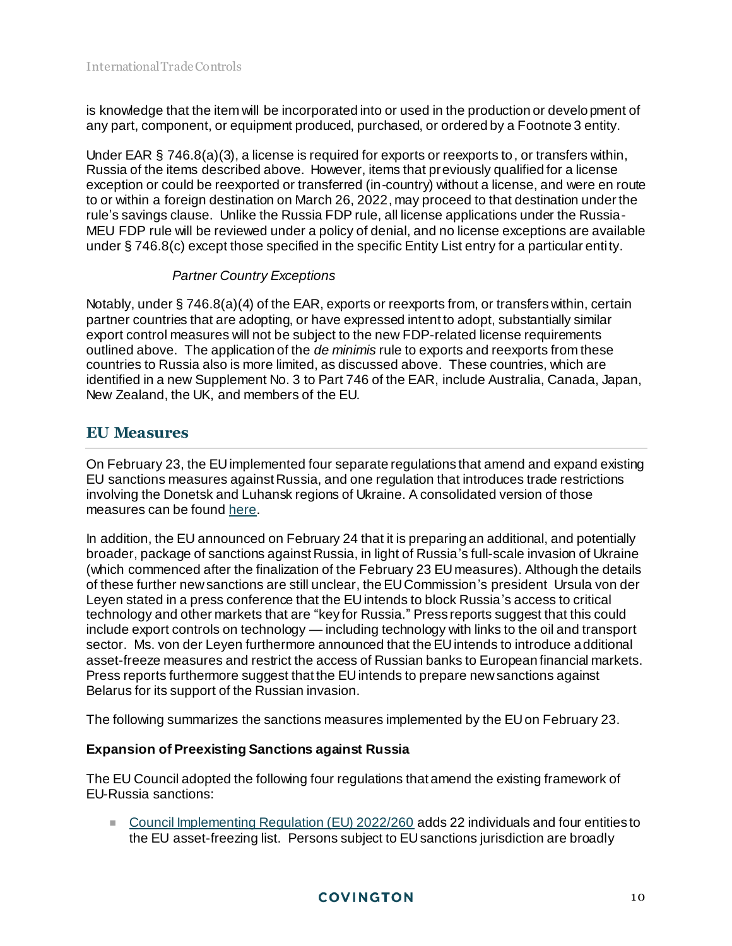is knowledge that the item will be incorporated into or used in the production or development of any part, component, or equipment produced, purchased, or ordered by a Footnote 3 entity.

Under EAR § 746.8(a)(3), a license is required for exports or reexports to, or transfers within, Russia of the items described above. However, items that previously qualified for a license exception or could be reexported or transferred (in-country) without a license, and were en route to or within a foreign destination on March 26, 2022, may proceed to that destination under the rule's savings clause. Unlike the Russia FDP rule, all license applications under the Russia-MEU FDP rule will be reviewed under a policy of denial, and no license exceptions are available under § 746.8(c) except those specified in the specific Entity List entry for a particular entity.

# *Partner Country Exceptions*

Notably, under § 746.8(a)(4) of the EAR, exports or reexports from, or transfers within, certain partner countries that are adopting, or have expressed intent to adopt, substantially similar export control measures will not be subject to the new FDP-related license requirements outlined above. The application of the *de minimis* rule to exports and reexports from these countries to Russia also is more limited, as discussed above. These countries, which are identified in a new Supplement No. 3 to Part 746 of the EAR, include Australia, Canada, Japan, New Zealand, the UK, and members of the EU.

# **EU Measures**

On February 23, the EU implemented four separate regulations that amend and expand existing EU sanctions measures against Russia, and one regulation that introduces trade restrictions involving the Donetsk and Luhansk regions of Ukraine. A consolidated version of those measures can be foun[d here](https://eur-lex.europa.eu/legal-content/EN/TXT/PDF/?uri=OJ:L:2022:042I:FULL&from=EN).

In addition, the EU announced on February 24 that it is preparing an additional, and potentially broader, package of sanctions against Russia, in light of Russia's full-scale invasion of Ukraine (which commenced after the finalization of the February 23 EU measures). Although the details of these further new sanctions are still unclear, the EU Commission's president Ursula von der Leyen stated in a press conference that the EU intends to block Russia's access to critical technology and other markets that are "key for Russia." Press reports suggest that this could include export controls on technology — including technology with links to the oil and transport sector. Ms. von der Leyen furthermore announced that the EU intends to introduce additional asset-freeze measures and restrict the access of Russian banks to European financial markets. Press reports furthermore suggest that the EU intends to prepare new sanctions against Belarus for its support of the Russian invasion.

The following summarizes the sanctions measures implemented by the EU on February 23.

# **Expansion of Preexisting Sanctions against Russia**

The EU Council adopted the following four regulations that amend the existing framework of EU-Russia sanctions:

■ [Council Implementing Regulation \(EU\) 2022/260](https://eur-lex.europa.eu/legal-content/EN/TXT/?uri=CELEX%3A32022R0260) adds 22 individuals and four entities to the EU asset-freezing list. Persons subject to EU sanctions jurisdiction are broadly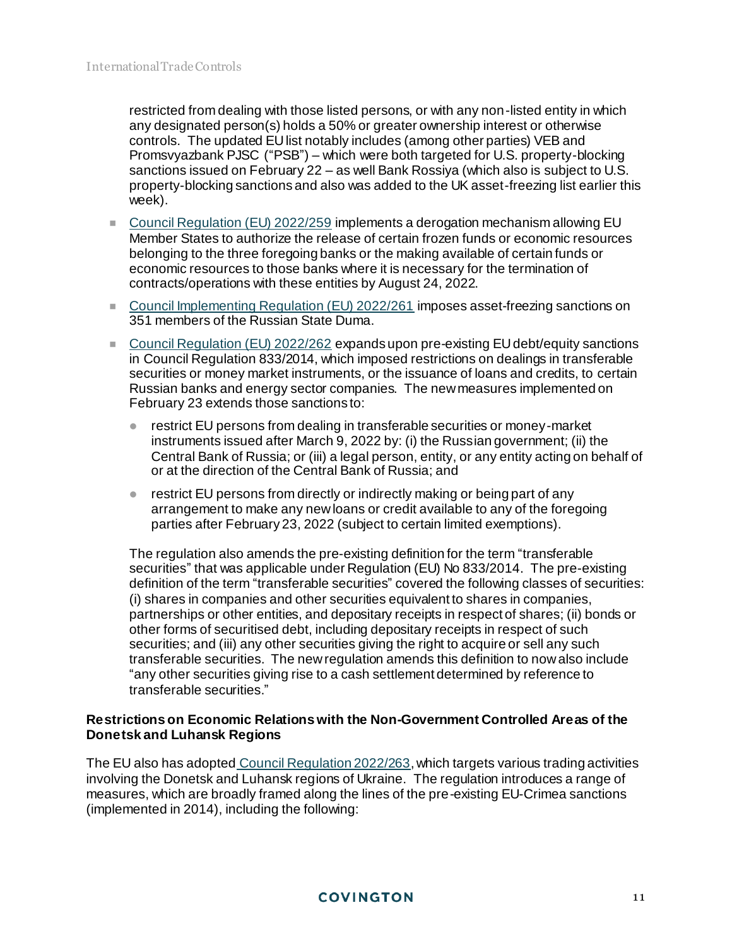restricted from dealing with those listed persons, or with any non-listed entity in which any designated person(s) holds a 50% or greater ownership interest or otherwise controls. The updated EU list notably includes (among other parties) VEB and Promsvyazbank PJSC ("PSB") – which were both targeted for U.S. property-blocking sanctions issued on February 22 – as well Bank Rossiya (which also is subject to U.S. property-blocking sanctions and also was added to the UK asset-freezing list earlier this week).

- [Council Regulation \(EU\) 2022/259](https://eur-lex.europa.eu/legal-content/EN/TXT/?uri=CELEX%3A32022R0259) implements a derogation mechanism allowing EU Member States to authorize the release of certain frozen funds or economic resources belonging to the three foregoing banks or the making available of certain funds or economic resources to those banks where it is necessary for the termination of contracts/operations with these entities by August 24, 2022.
- [Council Implementing Regulation \(EU\) 2022/261](https://eur-lex.europa.eu/legal-content/EN/TXT/?uri=CELEX%3A32022R0261) imposes asset-freezing sanctions on 351 members of the Russian State Duma.
- [Council Regulation \(EU\) 2022/262](https://eur-lex.europa.eu/legal-content/EN/TXT/?uri=CELEX%3A32022R0262) expands upon pre-existing EU debt/equity sanctions in Council Regulation 833/2014, which imposed restrictions on dealings in transferable securities or money market instruments, or the issuance of loans and credits, to certain Russian banks and energy sector companies. The new measures implemented on February 23 extends those sanctions to:
	- restrict EU persons from dealing in transferable securities or money-market instruments issued after March 9, 2022 by: (i) the Russian government; (ii) the Central Bank of Russia; or (iii) a legal person, entity, or any entity acting on behalf of or at the direction of the Central Bank of Russia; and
	- restrict EU persons from directly or indirectly making or being part of any arrangement to make any new loans or credit available to any of the foregoing parties after February 23, 2022 (subject to certain limited exemptions).

The regulation also amends the pre-existing definition for the term "transferable securities" that was applicable under Regulation (EU) No 833/2014. The pre-existing definition of the term "transferable securities" covered the following classes of securities: (i) shares in companies and other securities equivalent to shares in companies, partnerships or other entities, and depositary receipts in respect of shares; (ii) bonds or other forms of securitised debt, including depositary receipts in respect of such securities; and (iii) any other securities giving the right to acquire or sell any such transferable securities. The new regulation amends this definition to now also include "any other securities giving rise to a cash settlement determined by reference to transferable securities."

#### **Restrictions on Economic Relations with the Non-Government Controlled Areas of the Donetsk and Luhansk Regions**

The EU also has adopted [Council Regulation 2022/263](https://eur-lex.europa.eu/legal-content/EN/TXT/?uri=CELEX%3A32022R0263), which targets various trading activities involving the Donetsk and Luhansk regions of Ukraine. The regulation introduces a range of measures, which are broadly framed along the lines of the pre-existing EU-Crimea sanctions (implemented in 2014), including the following: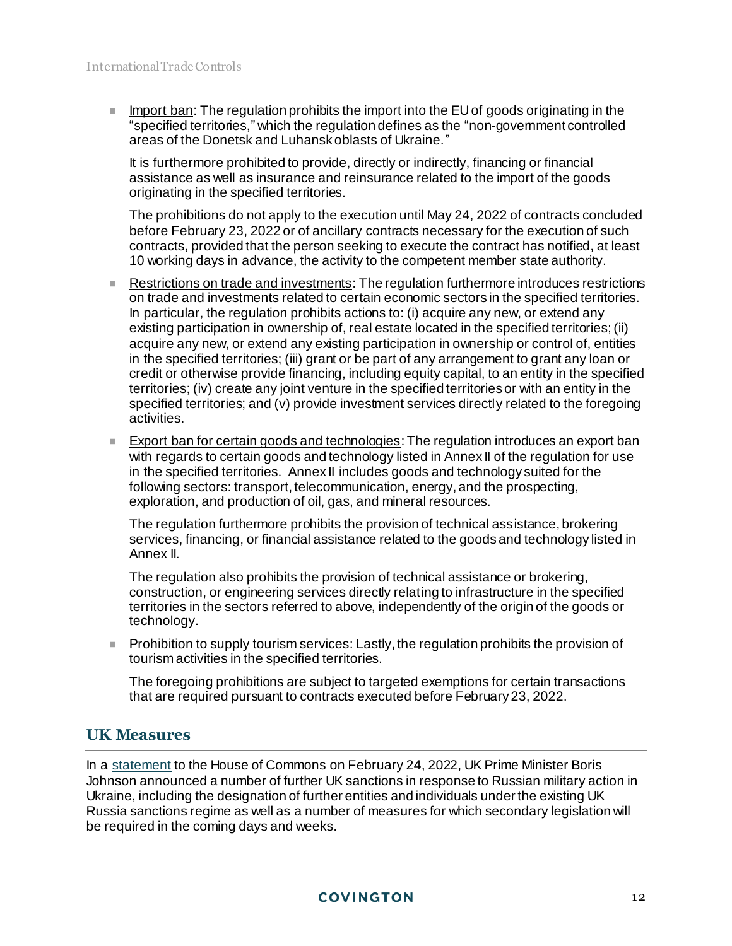$\blacksquare$  Import ban: The regulation prohibits the import into the EU of goods originating in the "specified territories," which the regulation defines as the "non-government controlled areas of the Donetsk and Luhansk oblasts of Ukraine."

It is furthermore prohibited to provide, directly or indirectly, financing or financial assistance as well as insurance and reinsurance related to the import of the goods originating in the specified territories.

The prohibitions do not apply to the execution until May 24, 2022 of contracts conduded before February 23, 2022 or of ancillary contracts necessary for the execution of such contracts, provided that the person seeking to execute the contract has notified, at least 10 working days in advance, the activity to the competent member state authority.

- Restrictions on trade and investments: The regulation furthermore introduces restrictions on trade and investments related to certain economic sectors in the specified territories. In particular, the regulation prohibits actions to: (i) acquire any new, or extend any existing participation in ownership of, real estate located in the specified territories; (ii) acquire any new, or extend any existing participation in ownership or control of, entities in the specified territories; (iii) grant or be part of any arrangement to grant any loan or credit or otherwise provide financing, including equity capital, to an entity in the specified territories; (iv) create any joint venture in the specified territories or with an entity in the specified territories; and (v) provide investment services directly related to the foregoing activities.
- **Export ban for certain goods and technologies:** The regulation introduces an export ban with regards to certain goods and technology listed in Annex II of the regulation for use in the specified territories. Annex II includes goods and technology suited for the following sectors: transport, telecommunication, energy, and the prospecting, exploration, and production of oil, gas, and mineral resources.

The regulation furthermore prohibits the provision of technical assistance, brokering services, financing, or financial assistance related to the goods and technology listed in Annex II.

The regulation also prohibits the provision of technical assistance or brokering, construction, or engineering services directly relating to infrastructure in the specified territories in the sectors referred to above, independently of the origin of the goods or technology.

**Prohibition to supply tourism services:** Lastly, the regulation prohibits the provision of tourism activities in the specified territories.

The foregoing prohibitions are subject to targeted exemptions for certain transactions that are required pursuant to contracts executed before February 23, 2022.

# **UK Measures**

In a [statement](https://www.gov.uk/government/speeches/pm-statement-to-the-house-of-commons-on-ukraine-24-february-2022) to the House of Commons on February 24, 2022, UK Prime Minister Boris Johnson announced a number of further UK sanctions in response to Russian military action in Ukraine, including the designation of further entities and individuals under the existing UK Russia sanctions regime as well as a number of measures for which secondary legislation will be required in the coming days and weeks.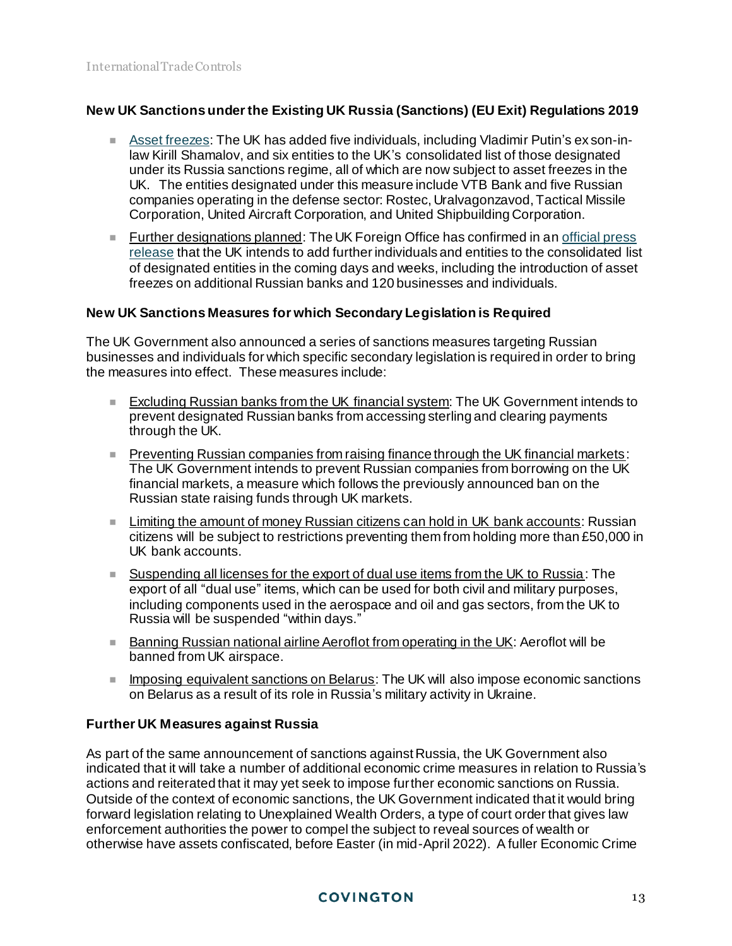# **New UK Sanctions under the Existing UK Russia (Sanctions) (EU Exit) Regulations 2019**

- [Asset freezes:](https://assets.publishing.service.gov.uk/government/uploads/system/uploads/attachment_data/file/1057264/Notice_Russia_240222.pdf) The UK has added five individuals, including Vladimir Putin's ex son-inlaw Kirill Shamalov, and six entities to the UK's consolidated list of those designated under its Russia sanctions regime, all of which are now subject to asset freezes in the UK. The entities designated under this measure include VTB Bank and five Russian companies operating in the defense sector: Rostec, Uralvagonzavod, Tactical Missile Corporation, United Aircraft Corporation, and United Shipbuilding Corporation.
- **Further designations planned: The UK Foreign Office has confirmed in an official press** [release](https://www.gov.uk/government/news/foreign-secretary-imposes-uks-most-punishing-sanctions-to-inflict-maximum-and-lasting-pain-on-russia) that the UK intends to add further individuals and entities to the consolidated list of designated entities in the coming days and weeks, including the introduction of asset freezes on additional Russian banks and 120 businesses and individuals.

# **New UK Sanctions Measures for which Secondary Legislation is Required**

The UK Government also announced a series of sanctions measures targeting Russian businesses and individuals for which specific secondary legislation is required in order to bring the measures into effect. These measures include:

- Excluding Russian banks from the UK financial system: The UK Government intends to prevent designated Russian banks from accessing sterling and clearing payments through the UK.
- **Preventing Russian companies from raising finance through the UK financial markets:** The UK Government intends to prevent Russian companies from borrowing on the UK financial markets, a measure which follows the previously announced ban on the Russian state raising funds through UK markets.
- **Limiting the amount of money Russian citizens can hold in UK bank accounts: Russian** citizens will be subject to restrictions preventing them from holding more than £50,000 in UK bank accounts.
- Suspending all licenses for the export of dual use items from the UK to Russia: The export of all "dual use" items, which can be used for both civil and military purposes, including components used in the aerospace and oil and gas sectors, from the UK to Russia will be suspended "within days."
- **Banning Russian national airline Aeroflot from operating in the UK: Aeroflot will be** banned from UK airspace.
- **Imposing equivalent sanctions on Belarus: The UK will also impose economic sanctions** on Belarus as a result of its role in Russia's military activity in Ukraine.

# **Further UK Measures against Russia**

As part of the same announcement of sanctions against Russia, the UK Government also indicated that it will take a number of additional economic crime measures in relation to Russia's actions and reiterated that it may yet seek to impose further economic sanctions on Russia. Outside of the context of economic sanctions, the UK Government indicated that it would bring forward legislation relating to Unexplained Wealth Orders, a type of court order that gives law enforcement authorities the power to compel the subject to reveal sources of wealth or otherwise have assets confiscated, before Easter (in mid-April 2022). A fuller Economic Crime